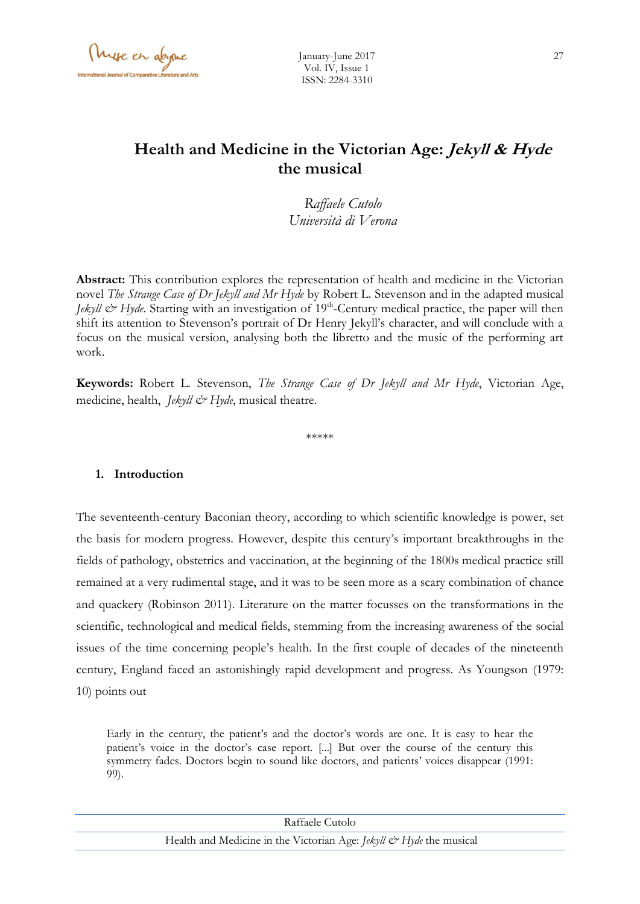Myse en abyme

# **Health and Medicine in the Victorian Age: Jekyll & Hyde the musical**

*Raffaele Cutolo Università di Verona*

**Abstract:** This contribution explores the representation of health and medicine in the Victorian novel *The Strange Case of Dr Jekyll and Mr Hyde* by Robert L. Stevenson and in the adapted musical Jekyll & Hyde. Starting with an investigation of 19<sup>th</sup>-Century medical practice, the paper will then shift its attention to Stevenson's portrait of Dr Henry Jekyll's character, and will conclude with a focus on the musical version, analysing both the libretto and the music of the performing art work.

**Keywords:** Robert L. Stevenson, *The Strange Case of Dr Jekyll and Mr Hyde*, Victorian Age, medicine, health, *Jekyll & Hyde*, musical theatre.

\*\*\*\*\*

# **1. Introduction**

The seventeenth-century Baconian theory, according to which scientific knowledge is power, set the basis for modern progress. However, despite this century's important breakthroughs in the fields of pathology, obstetrics and vaccination, at the beginning of the 1800s medical practice still remained at a very rudimental stage, and it was to be seen more as a scary combination of chance and quackery (Robinson 2011). Literature on the matter focusses on the transformations in the scientific, technological and medical fields, stemming from the increasing awareness of the social issues of the time concerning people's health. In the first couple of decades of the nineteenth century, England faced an astonishingly rapid development and progress. As Youngson (1979: 10) points out

Early in the century, the patient's and the doctor's words are one. It is easy to hear the patient's voice in the doctor's case report. [...] But over the course of the century this symmetry fades. Doctors begin to sound like doctors, and patients' voices disappear (1991: 99).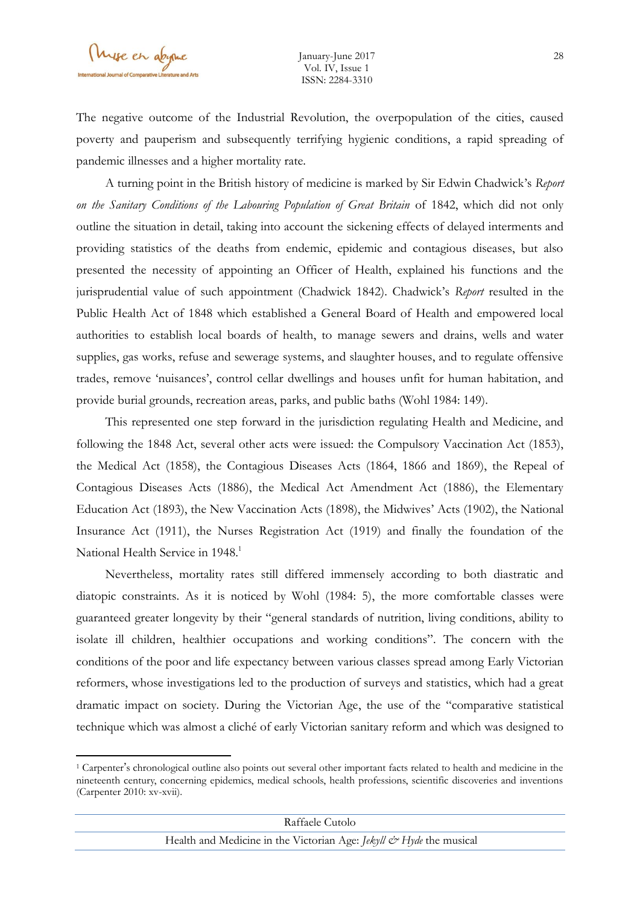$\overline{a}$ 

January-June 2017 Vol. IV, Issue 1 ISSN: 2284-3310

The negative outcome of the Industrial Revolution, the overpopulation of the cities, caused poverty and pauperism and subsequently terrifying hygienic conditions, a rapid spreading of pandemic illnesses and a higher mortality rate.

A turning point in the British history of medicine is marked by Sir Edwin Chadwick's *Report on the Sanitary Conditions of the Labouring Population of Great Britain* of 1842, which did not only outline the situation in detail, taking into account the sickening effects of delayed interments and providing statistics of the deaths from endemic, epidemic and contagious diseases, but also presented the necessity of appointing an Officer of Health, explained his functions and the jurisprudential value of such appointment (Chadwick 1842). Chadwick's *Report* resulted in the Public Health Act of 1848 which established a General Board of Health and empowered local authorities to establish local boards of health, to manage sewers and drains, wells and water supplies, gas works, refuse and sewerage systems, and slaughter houses, and to regulate offensive trades, remove 'nuisances', control cellar dwellings and houses unfit for human habitation, and provide burial grounds, recreation areas, parks, and public baths (Wohl 1984: 149).

This represented one step forward in the jurisdiction regulating Health and Medicine, and following the 1848 Act, several other acts were issued: the Compulsory Vaccination Act (1853), the Medical Act (1858), the Contagious Diseases Acts (1864, 1866 and 1869), the Repeal of Contagious Diseases Acts (1886), the Medical Act Amendment Act (1886), the Elementary Education Act (1893), the New Vaccination Acts (1898), the Midwives' Acts (1902), the National Insurance Act (1911), the Nurses Registration Act (1919) and finally the foundation of the National Health Service in 1948.<sup>1</sup>

Nevertheless, mortality rates still differed immensely according to both diastratic and diatopic constraints. As it is noticed by Wohl (1984: 5), the more comfortable classes were guaranteed greater longevity by their "general standards of nutrition, living conditions, ability to isolate ill children, healthier occupations and working conditions". The concern with the conditions of the poor and life expectancy between various classes spread among Early Victorian reformers, whose investigations led to the production of surveys and statistics, which had a great dramatic impact on society. During the Victorian Age, the use of the "comparative statistical technique which was almost a cliché of early Victorian sanitary reform and which was designed to

<sup>1</sup> Carpenter's chronological outline also points out several other important facts related to health and medicine in the nineteenth century, concerning epidemics, medical schools, health professions, scientific discoveries and inventions (Carpenter 2010: xv-xvii).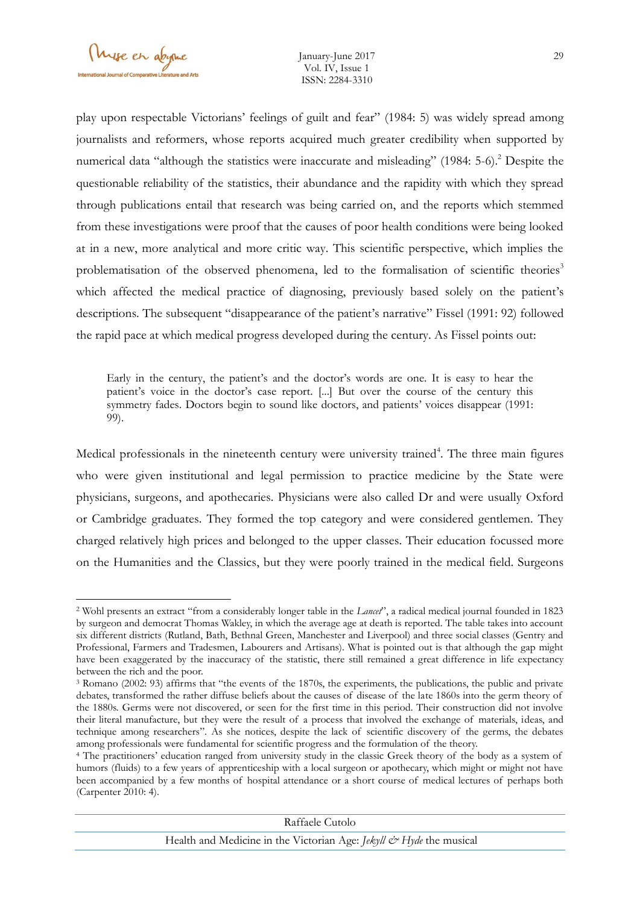play upon respectable Victorians' feelings of guilt and fear" (1984: 5) was widely spread among journalists and reformers, whose reports acquired much greater credibility when supported by numerical data "although the statistics were inaccurate and misleading" (1984: 5-6).<sup>2</sup> Despite the questionable reliability of the statistics, their abundance and the rapidity with which they spread through publications entail that research was being carried on, and the reports which stemmed from these investigations were proof that the causes of poor health conditions were being looked at in a new, more analytical and more critic way. This scientific perspective, which implies the problematisation of the observed phenomena, led to the formalisation of scientific theories<sup>3</sup> which affected the medical practice of diagnosing, previously based solely on the patient's descriptions. The subsequent "disappearance of the patient's narrative" Fissel (1991: 92) followed the rapid pace at which medical progress developed during the century. As Fissel points out:

Early in the century, the patient's and the doctor's words are one. It is easy to hear the patient's voice in the doctor's case report. [...] But over the course of the century this symmetry fades. Doctors begin to sound like doctors, and patients' voices disappear (1991: 99).

Medical professionals in the nineteenth century were university trained<sup>4</sup>. The three main figures who were given institutional and legal permission to practice medicine by the State were physicians, surgeons, and apothecaries. Physicians were also called Dr and were usually Oxford or Cambridge graduates. They formed the top category and were considered gentlemen. They charged relatively high prices and belonged to the upper classes. Their education focussed more on the Humanities and the Classics, but they were poorly trained in the medical field. Surgeons

 $\overline{\phantom{a}}$ <sup>2</sup> Wohl presents an extract "from a considerably longer table in the *Lancet*", a radical medical journal founded in 1823 by surgeon and democrat Thomas Wakley, in which the average age at death is reported. The table takes into account six different districts (Rutland, Bath, Bethnal Green, Manchester and Liverpool) and three social classes (Gentry and Professional, Farmers and Tradesmen, Labourers and Artisans). What is pointed out is that although the gap might have been exaggerated by the inaccuracy of the statistic, there still remained a great difference in life expectancy between the rich and the poor.

<sup>3</sup> Romano (2002: 93) affirms that "the events of the 1870s, the experiments, the publications, the public and private debates, transformed the rather diffuse beliefs about the causes of disease of the late 1860s into the germ theory of the 1880s. Germs were not discovered, or seen for the first time in this period. Their construction did not involve their literal manufacture, but they were the result of a process that involved the exchange of materials, ideas, and technique among researchers". As she notices, despite the lack of scientific discovery of the germs, the debates among professionals were fundamental for scientific progress and the formulation of the theory.

<sup>4</sup> The practitioners' education ranged from university study in the classic Greek theory of the body as a system of humors (fluids) to a few years of apprenticeship with a local surgeon or apothecary, which might or might not have been accompanied by a few months of hospital attendance or a short course of medical lectures of perhaps both (Carpenter 2010: 4).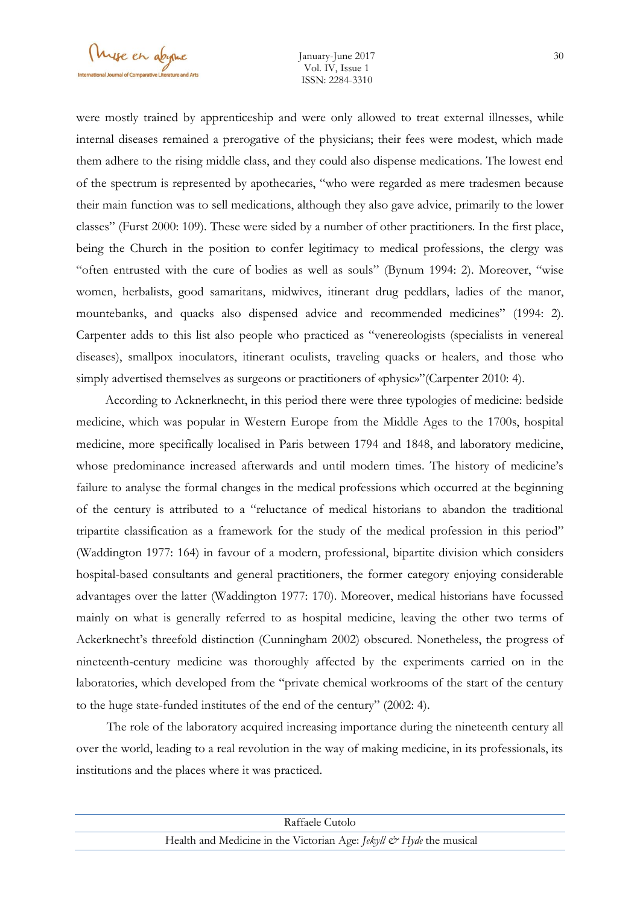# Myse en abyme

January-June 2017 Vol. IV, Issue 1 ISSN: 2284-3310

were mostly trained by apprenticeship and were only allowed to treat external illnesses, while internal diseases remained a prerogative of the physicians; their fees were modest, which made them adhere to the rising middle class, and they could also dispense medications. The lowest end of the spectrum is represented by apothecaries, "who were regarded as mere tradesmen because their main function was to sell medications, although they also gave advice, primarily to the lower classes" (Furst 2000: 109). These were sided by a number of other practitioners. In the first place, being the Church in the position to confer legitimacy to medical professions, the clergy was "often entrusted with the cure of bodies as well as souls" (Bynum 1994: 2). Moreover, "wise women, herbalists, good samaritans, midwives, itinerant drug peddlars, ladies of the manor, mountebanks, and quacks also dispensed advice and recommended medicines" (1994: 2). Carpenter adds to this list also people who practiced as "venereologists (specialists in venereal diseases), smallpox inoculators, itinerant oculists, traveling quacks or healers, and those who simply advertised themselves as surgeons or practitioners of «physic»"(Carpenter 2010: 4).

According to Acknerknecht, in this period there were three typologies of medicine: bedside medicine, which was popular in Western Europe from the Middle Ages to the 1700s, hospital medicine, more specifically localised in Paris between 1794 and 1848, and laboratory medicine, whose predominance increased afterwards and until modern times. The history of medicine's failure to analyse the formal changes in the medical professions which occurred at the beginning of the century is attributed to a "reluctance of medical historians to abandon the traditional tripartite classification as a framework for the study of the medical profession in this period" (Waddington 1977: 164) in favour of a modern, professional, bipartite division which considers hospital-based consultants and general practitioners, the former category enjoying considerable advantages over the latter (Waddington 1977: 170). Moreover, medical historians have focussed mainly on what is generally referred to as hospital medicine, leaving the other two terms of Ackerknecht's threefold distinction (Cunningham 2002) obscured. Nonetheless, the progress of nineteenth-century medicine was thoroughly affected by the experiments carried on in the laboratories, which developed from the "private chemical workrooms of the start of the century to the huge state-funded institutes of the end of the century" (2002: 4).

The role of the laboratory acquired increasing importance during the nineteenth century all over the world, leading to a real revolution in the way of making medicine, in its professionals, its institutions and the places where it was practiced.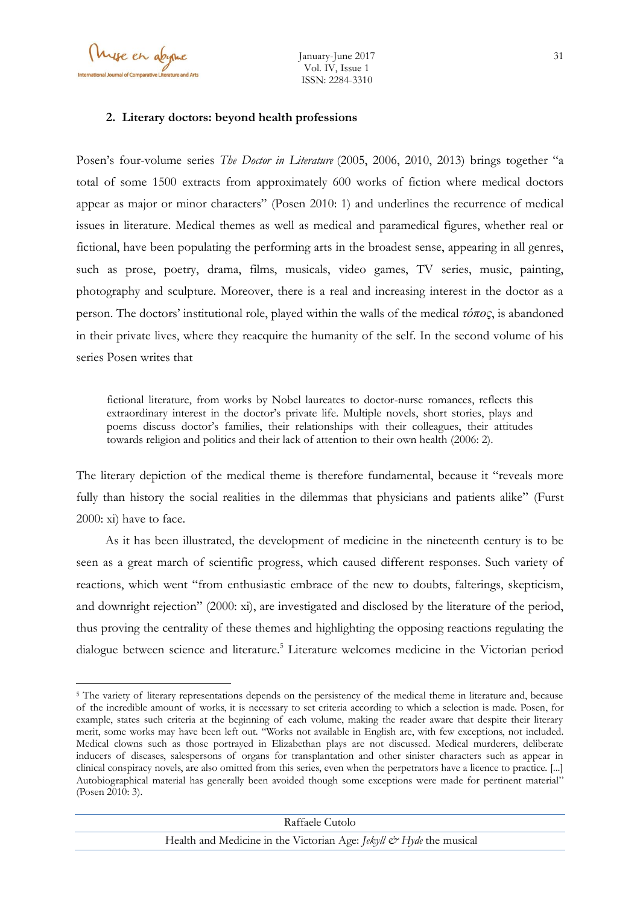## **2. Literary doctors: beyond health professions**

Posen's four-volume series *The Doctor in Literature* (2005, 2006, 2010, 2013) brings together "a total of some 1500 extracts from approximately 600 works of fiction where medical doctors appear as major or minor characters" (Posen 2010: 1) and underlines the recurrence of medical issues in literature. Medical themes as well as medical and paramedical figures, whether real or fictional, have been populating the performing arts in the broadest sense, appearing in all genres, such as prose, poetry, drama, films, musicals, video games, TV series, music, painting, photography and sculpture. Moreover, there is a real and increasing interest in the doctor as a person. The doctors' institutional role, played within the walls of the medical *τόπος*, is abandoned in their private lives, where they reacquire the humanity of the self. In the second volume of his series Posen writes that

fictional literature, from works by Nobel laureates to doctor-nurse romances, reflects this extraordinary interest in the doctor's private life. Multiple novels, short stories, plays and poems discuss doctor's families, their relationships with their colleagues, their attitudes towards religion and politics and their lack of attention to their own health (2006: 2).

The literary depiction of the medical theme is therefore fundamental, because it "reveals more fully than history the social realities in the dilemmas that physicians and patients alike" (Furst 2000: xi) have to face.

As it has been illustrated, the development of medicine in the nineteenth century is to be seen as a great march of scientific progress, which caused different responses. Such variety of reactions, which went "from enthusiastic embrace of the new to doubts, falterings, skepticism, and downright rejection" (2000: xi), are investigated and disclosed by the literature of the period, thus proving the centrality of these themes and highlighting the opposing reactions regulating the dialogue between science and literature.<sup>5</sup> Literature welcomes medicine in the Victorian period

<sup>5</sup> The variety of literary representations depends on the persistency of the medical theme in literature and, because of the incredible amount of works, it is necessary to set criteria according to which a selection is made. Posen, for example, states such criteria at the beginning of each volume, making the reader aware that despite their literary merit, some works may have been left out. "Works not available in English are, with few exceptions, not included. Medical clowns such as those portrayed in Elizabethan plays are not discussed. Medical murderers, deliberate inducers of diseases, salespersons of organs for transplantation and other sinister characters such as appear in clinical conspiracy novels, are also omitted from this series, even when the perpetrators have a licence to practice. [...] Autobiographical material has generally been avoided though some exceptions were made for pertinent material" (Posen 2010: 3).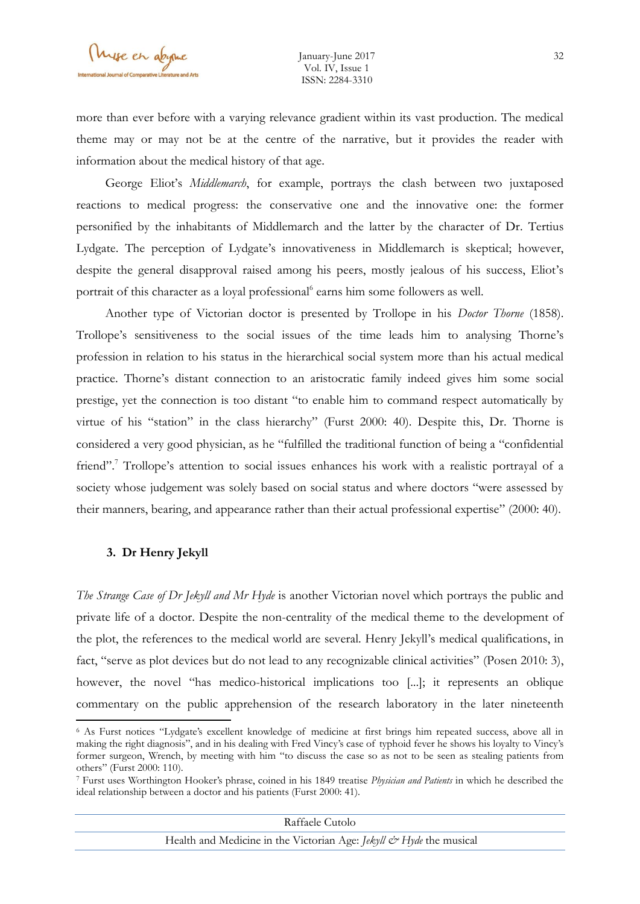more than ever before with a varying relevance gradient within its vast production. The medical theme may or may not be at the centre of the narrative, but it provides the reader with information about the medical history of that age.

George Eliot's *Middlemarch*, for example, portrays the clash between two juxtaposed reactions to medical progress: the conservative one and the innovative one: the former personified by the inhabitants of Middlemarch and the latter by the character of Dr. Tertius Lydgate. The perception of Lydgate's innovativeness in Middlemarch is skeptical; however, despite the general disapproval raised among his peers, mostly jealous of his success, Eliot's portrait of this character as a loyal professional<sup>6</sup> earns him some followers as well.

Another type of Victorian doctor is presented by Trollope in his *Doctor Thorne* (1858). Trollope's sensitiveness to the social issues of the time leads him to analysing Thorne's profession in relation to his status in the hierarchical social system more than his actual medical practice. Thorne's distant connection to an aristocratic family indeed gives him some social prestige, yet the connection is too distant "to enable him to command respect automatically by virtue of his "station" in the class hierarchy" (Furst 2000: 40). Despite this, Dr. Thorne is considered a very good physician, as he "fulfilled the traditional function of being a "confidential friend".<sup>7</sup> Trollope's attention to social issues enhances his work with a realistic portrayal of a society whose judgement was solely based on social status and where doctors "were assessed by their manners, bearing, and appearance rather than their actual professional expertise" (2000: 40).

#### **3. Dr Henry Jekyll**

 $\overline{\phantom{a}}$ 

*The Strange Case of Dr Jekyll and Mr Hyde* is another Victorian novel which portrays the public and private life of a doctor. Despite the non-centrality of the medical theme to the development of the plot, the references to the medical world are several. Henry Jekyll's medical qualifications, in fact, "serve as plot devices but do not lead to any recognizable clinical activities" (Posen 2010: 3), however, the novel "has medico-historical implications too [...]; it represents an oblique commentary on the public apprehension of the research laboratory in the later nineteenth

<sup>6</sup> As Furst notices "Lydgate's excellent knowledge of medicine at first brings him repeated success, above all in making the right diagnosis", and in his dealing with Fred Vincy's case of typhoid fever he shows his loyalty to Vincy's former surgeon, Wrench, by meeting with him "to discuss the case so as not to be seen as stealing patients from others" (Furst 2000: 110).

<sup>7</sup> Furst uses Worthington Hooker's phrase, coined in his 1849 treatise *Physician and Patients* in which he described the ideal relationship between a doctor and his patients (Furst 2000: 41).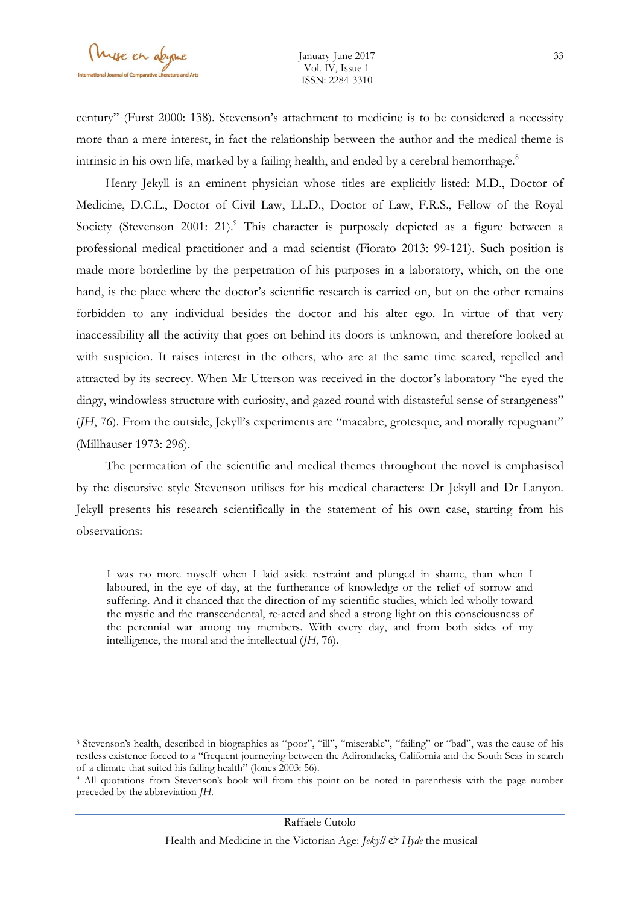January-June 2017 Vol. IV, Issue 1 ISSN: 2284-3310

century" (Furst 2000: 138). Stevenson's attachment to medicine is to be considered a necessity more than a mere interest, in fact the relationship between the author and the medical theme is intrinsic in his own life, marked by a failing health, and ended by a cerebral hemorrhage.<sup>8</sup>

Henry Jekyll is an eminent physician whose titles are explicitly listed: M.D., Doctor of Medicine, D.C.L., Doctor of Civil Law, LL.D., Doctor of Law, F.R.S., Fellow of the Royal Society (Stevenson 2001: 21).<sup>9</sup> This character is purposely depicted as a figure between a professional medical practitioner and a mad scientist (Fiorato 2013: 99-121). Such position is made more borderline by the perpetration of his purposes in a laboratory, which, on the one hand, is the place where the doctor's scientific research is carried on, but on the other remains forbidden to any individual besides the doctor and his alter ego. In virtue of that very inaccessibility all the activity that goes on behind its doors is unknown, and therefore looked at with suspicion. It raises interest in the others, who are at the same time scared, repelled and attracted by its secrecy. When Mr Utterson was received in the doctor's laboratory "he eyed the dingy, windowless structure with curiosity, and gazed round with distasteful sense of strangeness" (*JH*, 76). From the outside, Jekyll's experiments are "macabre, grotesque, and morally repugnant" (Millhauser 1973: 296).

The permeation of the scientific and medical themes throughout the novel is emphasised by the discursive style Stevenson utilises for his medical characters: Dr Jekyll and Dr Lanyon. Jekyll presents his research scientifically in the statement of his own case, starting from his observations:

I was no more myself when I laid aside restraint and plunged in shame, than when I laboured, in the eye of day, at the furtherance of knowledge or the relief of sorrow and suffering. And it chanced that the direction of my scientific studies, which led wholly toward the mystic and the transcendental, re-acted and shed a strong light on this consciousness of the perennial war among my members. With every day, and from both sides of my intelligence, the moral and the intellectual (*JH*, 76).

<sup>8</sup> Stevenson's health, described in biographies as "poor", "ill", "miserable", "failing" or "bad", was the cause of his restless existence forced to a "frequent journeying between the Adirondacks, California and the South Seas in search of a climate that suited his failing health" (Jones 2003: 56).

<sup>9</sup> All quotations from Stevenson's book will from this point on be noted in parenthesis with the page number preceded by the abbreviation *JH*.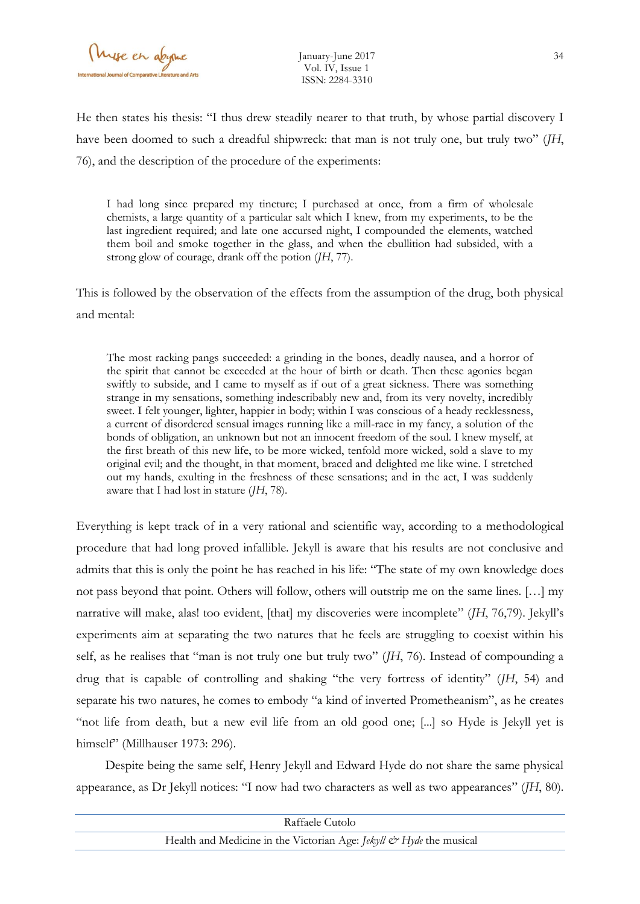Muse en abyme

I had long since prepared my tincture; I purchased at once, from a firm of wholesale chemists, a large quantity of a particular salt which I knew, from my experiments, to be the last ingredient required; and late one accursed night, I compounded the elements, watched them boil and smoke together in the glass, and when the ebullition had subsided, with a strong glow of courage, drank off the potion (*JH*, 77).

This is followed by the observation of the effects from the assumption of the drug, both physical and mental:

The most racking pangs succeeded: a grinding in the bones, deadly nausea, and a horror of the spirit that cannot be exceeded at the hour of birth or death. Then these agonies began swiftly to subside, and I came to myself as if out of a great sickness. There was something strange in my sensations, something indescribably new and, from its very novelty, incredibly sweet. I felt younger, lighter, happier in body; within I was conscious of a heady recklessness, a current of disordered sensual images running like a mill-race in my fancy, a solution of the bonds of obligation, an unknown but not an innocent freedom of the soul. I knew myself, at the first breath of this new life, to be more wicked, tenfold more wicked, sold a slave to my original evil; and the thought, in that moment, braced and delighted me like wine. I stretched out my hands, exulting in the freshness of these sensations; and in the act, I was suddenly aware that I had lost in stature (*JH*, 78).

Everything is kept track of in a very rational and scientific way, according to a methodological procedure that had long proved infallible. Jekyll is aware that his results are not conclusive and admits that this is only the point he has reached in his life: "The state of my own knowledge does not pass beyond that point. Others will follow, others will outstrip me on the same lines. […] my narrative will make, alas! too evident, [that] my discoveries were incomplete" (*JH*, 76,79). Jekyll's experiments aim at separating the two natures that he feels are struggling to coexist within his self, as he realises that "man is not truly one but truly two" (*JH*, 76). Instead of compounding a drug that is capable of controlling and shaking "the very fortress of identity" (*JH*, 54) and separate his two natures, he comes to embody "a kind of inverted Prometheanism", as he creates "not life from death, but a new evil life from an old good one; [...] so Hyde is Jekyll yet is himself" (Millhauser 1973: 296).

Despite being the same self, Henry Jekyll and Edward Hyde do not share the same physical appearance, as Dr Jekyll notices: "I now had two characters as well as two appearances" (*JH*, 80).

| Raffaele Cutolo                                                                |  |
|--------------------------------------------------------------------------------|--|
| Health and Medicine in the Victorian Age: <i>Jekyll &amp; Hyde</i> the musical |  |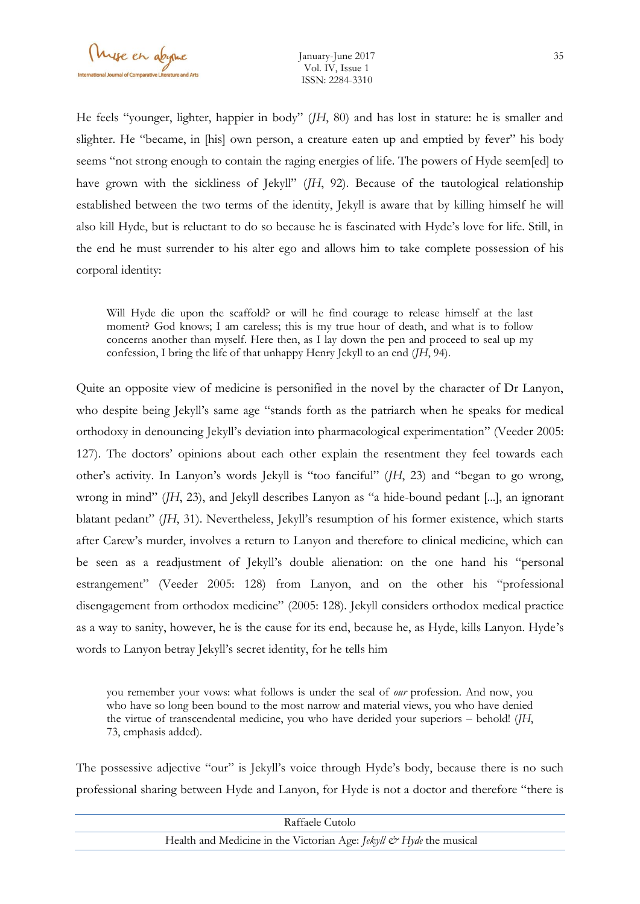He feels "younger, lighter, happier in body" (*JH*, 80) and has lost in stature: he is smaller and slighter. He "became, in [his] own person, a creature eaten up and emptied by fever" his body seems "not strong enough to contain the raging energies of life. The powers of Hyde seem[ed] to have grown with the sickliness of Jekyll" (*JH*, 92). Because of the tautological relationship established between the two terms of the identity, Jekyll is aware that by killing himself he will also kill Hyde, but is reluctant to do so because he is fascinated with Hyde's love for life. Still, in the end he must surrender to his alter ego and allows him to take complete possession of his corporal identity:

Will Hyde die upon the scaffold? or will he find courage to release himself at the last moment? God knows; I am careless; this is my true hour of death, and what is to follow concerns another than myself. Here then, as I lay down the pen and proceed to seal up my confession, I bring the life of that unhappy Henry Jekyll to an end (*JH*, 94).

Quite an opposite view of medicine is personified in the novel by the character of Dr Lanyon, who despite being Jekyll's same age "stands forth as the patriarch when he speaks for medical orthodoxy in denouncing Jekyll's deviation into pharmacological experimentation" (Veeder 2005: 127). The doctors' opinions about each other explain the resentment they feel towards each other's activity. In Lanyon's words Jekyll is "too fanciful" (*JH*, 23) and "began to go wrong, wrong in mind" (*JH*, 23), and Jekyll describes Lanyon as "a hide-bound pedant [...], an ignorant blatant pedant" (*JH*, 31). Nevertheless, Jekyll's resumption of his former existence, which starts after Carew's murder, involves a return to Lanyon and therefore to clinical medicine, which can be seen as a readjustment of Jekyll's double alienation: on the one hand his "personal estrangement" (Veeder 2005: 128) from Lanyon, and on the other his "professional disengagement from orthodox medicine" (2005: 128). Jekyll considers orthodox medical practice as a way to sanity, however, he is the cause for its end, because he, as Hyde, kills Lanyon. Hyde's words to Lanyon betray Jekyll's secret identity, for he tells him

you remember your vows: what follows is under the seal of *our* profession. And now, you who have so long been bound to the most narrow and material views, you who have denied the virtue of transcendental medicine, you who have derided your superiors – behold! (*JH*, 73, emphasis added).

The possessive adjective "our" is Jekyll's voice through Hyde's body, because there is no such professional sharing between Hyde and Lanyon, for Hyde is not a doctor and therefore "there is

Raffaele Cutolo Health and Medicine in the Victorian Age: *Jekyll & Hyde* the musical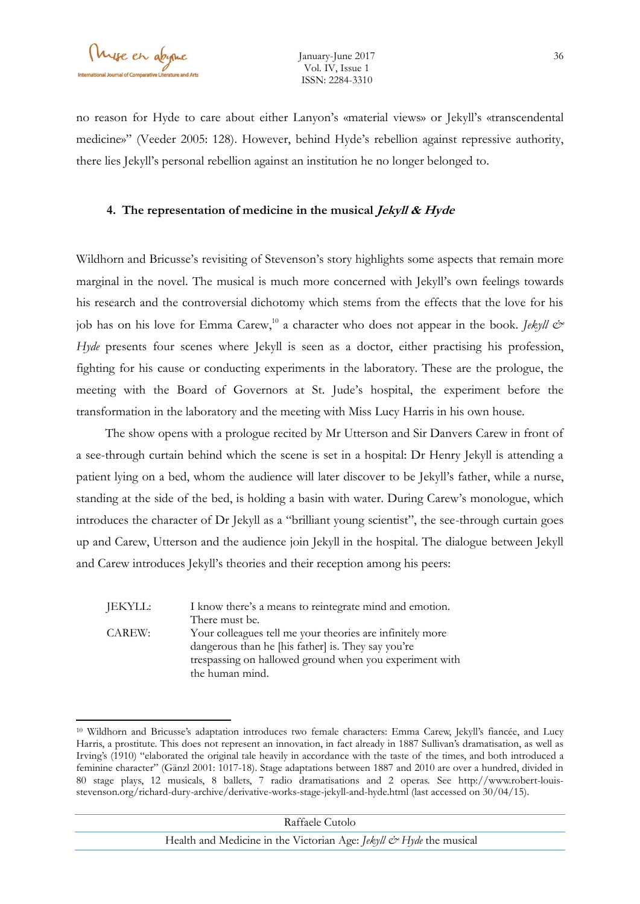no reason for Hyde to care about either Lanyon's «material views» or Jekyll's «transcendental medicine»" (Veeder 2005: 128). However, behind Hyde's rebellion against repressive authority, there lies Jekyll's personal rebellion against an institution he no longer belonged to.

## **4. The representation of medicine in the musical Jekyll & Hyde**

Wildhorn and Bricusse's revisiting of Stevenson's story highlights some aspects that remain more marginal in the novel. The musical is much more concerned with Jekyll's own feelings towards his research and the controversial dichotomy which stems from the effects that the love for his job has on his love for Emma Carew,<sup>10</sup> a character who does not appear in the book. *Jekyll & Hyde* presents four scenes where Jekyll is seen as a doctor, either practising his profession, fighting for his cause or conducting experiments in the laboratory. These are the prologue, the meeting with the Board of Governors at St. Jude's hospital, the experiment before the transformation in the laboratory and the meeting with Miss Lucy Harris in his own house.

The show opens with a prologue recited by Mr Utterson and Sir Danvers Carew in front of a see-through curtain behind which the scene is set in a hospital: Dr Henry Jekyll is attending a patient lying on a bed, whom the audience will later discover to be Jekyll's father, while a nurse, standing at the side of the bed, is holding a basin with water. During Carew's monologue, which introduces the character of Dr Jekyll as a "brilliant young scientist", the see-through curtain goes up and Carew, Utterson and the audience join Jekyll in the hospital. The dialogue between Jekyll and Carew introduces Jekyll's theories and their reception among his peers:

| JEKYLL: | I know there's a means to reintegrate mind and emotion.   |
|---------|-----------------------------------------------------------|
|         | There must be.                                            |
| CAREW:  | Your colleagues tell me your theories are infinitely more |
|         | dangerous than he [his father] is. They say you're        |
|         | trespassing on hallowed ground when you experiment with   |
|         | the human mind.                                           |
|         |                                                           |

<sup>10</sup> Wildhorn and Bricusse's adaptation introduces two female characters: Emma Carew, Jekyll's fiancée, and Lucy Harris, a prostitute. This does not represent an innovation, in fact already in 1887 Sullivan's dramatisation, as well as Irving's (1910) "elaborated the original tale heavily in accordance with the taste of the times, and both introduced a feminine character" (Gänzl 2001: 1017-18). Stage adaptations between 1887 and 2010 are over a hundred, divided in 80 stage plays, 12 musicals, 8 ballets, 7 radio dramatisations and 2 operas. See [http://www.robert-louis](http://www.robert-louis-stevenson.org/richard-dury-archive/derivative-works-stage-jekyll-and-hyde.html)[stevenson.org/richard-dury-archive/derivative-works-stage-jekyll-and-hyde.html](http://www.robert-louis-stevenson.org/richard-dury-archive/derivative-works-stage-jekyll-and-hyde.html) (last accessed on 30/04/15).

Health and Medicine in the Victorian Age: *Jekyll & Hyde* the musical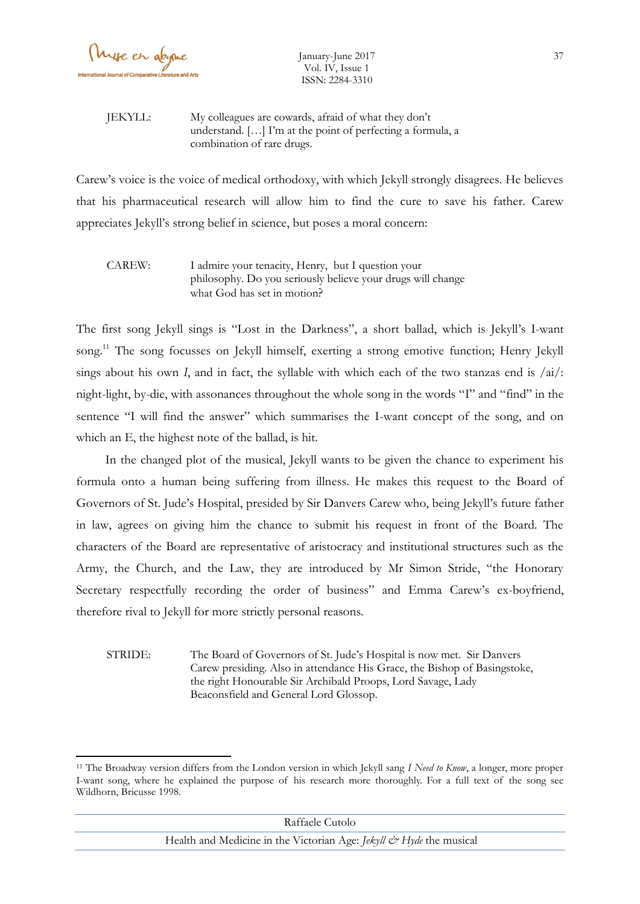January-June 2017 Vol. IV, Issue 1 ISSN: 2284-3310

JEKYLL: My colleagues are cowards, afraid of what they don't understand. […] I'm at the point of perfecting a formula, a combination of rare drugs.

Carew's voice is the voice of medical orthodoxy, with which Jekyll strongly disagrees. He believes that his pharmaceutical research will allow him to find the cure to save his father. Carew appreciates Jekyll's strong belief in science, but poses a moral concern:

CAREW: I admire your tenacity, Henry, but I question your philosophy. Do you seriously believe your drugs will change what God has set in motion?

The first song Jekyll sings is "Lost in the Darkness", a short ballad, which is Jekyll's I-want song.<sup>11</sup> The song focusses on Jekyll himself, exerting a strong emotive function; Henry Jekyll sings about his own *I*, and in fact, the syllable with which each of the two stanzas end is  $/ai$ : night-light, by-die, with assonances throughout the whole song in the words "I" and "find" in the sentence "I will find the answer" which summarises the I-want concept of the song, and on which an E, the highest note of the ballad, is hit.

In the changed plot of the musical, Jekyll wants to be given the chance to experiment his formula onto a human being suffering from illness. He makes this request to the Board of Governors of St. Jude's Hospital, presided by Sir Danvers Carew who, being Jekyll's future father in law, agrees on giving him the chance to submit his request in front of the Board. The characters of the Board are representative of aristocracy and institutional structures such as the Army, the Church, and the Law, they are introduced by Mr Simon Stride, "the Honorary Secretary respectfully recording the order of business" and Emma Carew's ex-boyfriend, therefore rival to Jekyll for more strictly personal reasons.

STRIDE: The Board of Governors of St. Jude's Hospital is now met. Sir Danvers Carew presiding. Also in attendance His Grace, the Bishop of Basingstoke, the right Honourable Sir Archibald Proops, Lord Savage, Lady Beaconsfield and General Lord Glossop.

Raffaele Cutolo

<sup>11</sup> The Broadway version differs from the London version in which Jekyll sang *I Need to Know*, a longer, more proper I-want song, where he explained the purpose of his research more thoroughly. For a full text of the song see Wildhorn, Bricusse 1998.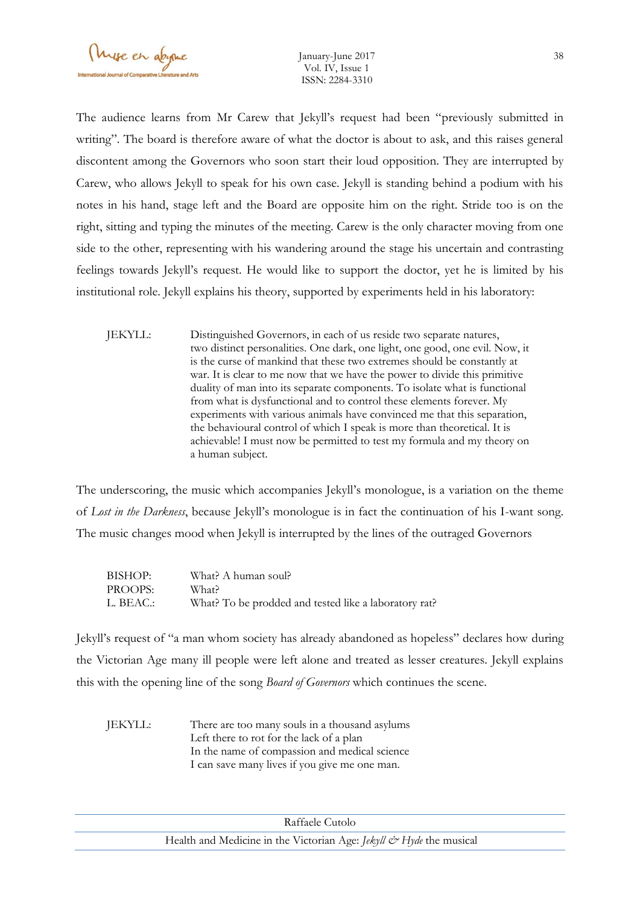The audience learns from Mr Carew that Jekyll's request had been "previously submitted in writing". The board is therefore aware of what the doctor is about to ask, and this raises general discontent among the Governors who soon start their loud opposition. They are interrupted by Carew, who allows Jekyll to speak for his own case. Jekyll is standing behind a podium with his notes in his hand, stage left and the Board are opposite him on the right. Stride too is on the right, sitting and typing the minutes of the meeting. Carew is the only character moving from one side to the other, representing with his wandering around the stage his uncertain and contrasting feelings towards Jekyll's request. He would like to support the doctor, yet he is limited by his institutional role. Jekyll explains his theory, supported by experiments held in his laboratory:

JEKYLL: Distinguished Governors, in each of us reside two separate natures, two distinct personalities. One dark, one light, one good, one evil. Now, it is the curse of mankind that these two extremes should be constantly at war. It is clear to me now that we have the power to divide this primitive duality of man into its separate components. To isolate what is functional from what is dysfunctional and to control these elements forever. My experiments with various animals have convinced me that this separation, the behavioural control of which I speak is more than theoretical. It is achievable! I must now be permitted to test my formula and my theory on a human subject.

The underscoring, the music which accompanies Jekyll's monologue, is a variation on the theme of *Lost in the Darkness*, because Jekyll's monologue is in fact the continuation of his I-want song. The music changes mood when Jekyll is interrupted by the lines of the outraged Governors

| BISHOP:   | What? A human soul?                                   |
|-----------|-------------------------------------------------------|
| PROOPS:   | What?                                                 |
| L. BEAC.: | What? To be prodded and tested like a laboratory rat? |

Jekyll's request of "a man whom society has already abandoned as hopeless" declares how during the Victorian Age many ill people were left alone and treated as lesser creatures. Jekyll explains this with the opening line of the song *Board of Governors* which continues the scene.

JEKYLL: There are too many souls in a thousand asylums Left there to rot for the lack of a plan In the name of compassion and medical science I can save many lives if you give me one man.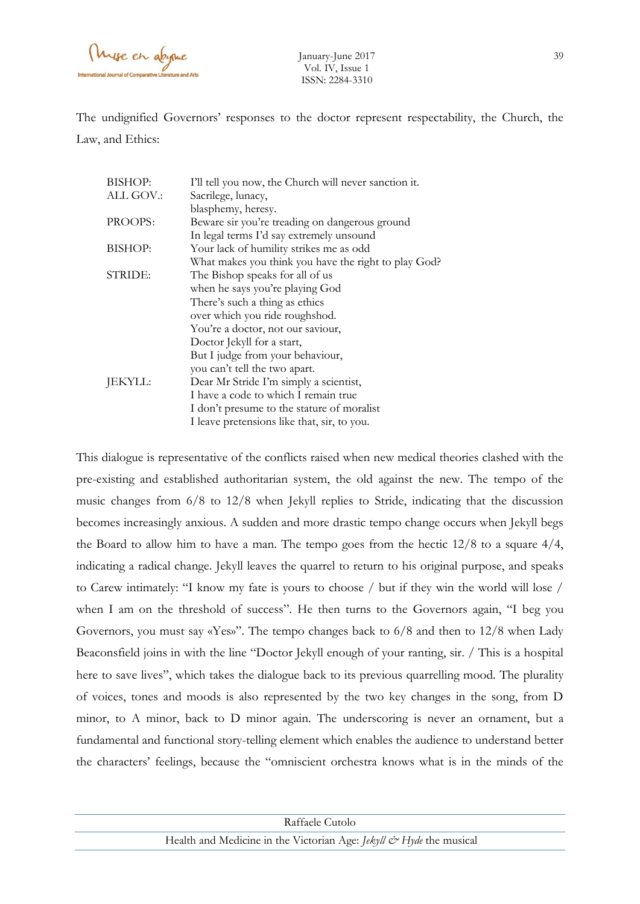Myse en abyme

The undignified Governors' responses to the doctor represent respectability, the Church, the Law, and Ethics:

| BISHOP:   | I'll tell you now, the Church will never sanction it. |
|-----------|-------------------------------------------------------|
| ALL GOV.: | Sacrilege, lunacy,                                    |
|           | blasphemy, heresy.                                    |
| PROOPS:   | Beware sir you're treading on dangerous ground        |
|           | In legal terms I'd say extremely unsound              |
| BISHOP:   | Your lack of humility strikes me as odd               |
|           | What makes you think you have the right to play God?  |
| STRIDE:   | The Bishop speaks for all of us                       |
|           | when he says you're playing God                       |
|           | There's such a thing as ethics                        |
|           | over which you ride roughshod.                        |
|           | You're a doctor, not our saviour,                     |
|           | Doctor Jekyll for a start,                            |
|           | But I judge from your behaviour,                      |
|           | you can't tell the two apart.                         |
| JEKYLL:   | Dear Mr Stride I'm simply a scientist,                |
|           | I have a code to which I remain true                  |
|           | I don't presume to the stature of moralist            |
|           | I leave pretensions like that, sir, to you.           |
|           |                                                       |

This dialogue is representative of the conflicts raised when new medical theories clashed with the pre-existing and established authoritarian system, the old against the new. The tempo of the music changes from 6/8 to 12/8 when Jekyll replies to Stride, indicating that the discussion becomes increasingly anxious. A sudden and more drastic tempo change occurs when Jekyll begs the Board to allow him to have a man. The tempo goes from the hectic  $12/8$  to a square  $4/4$ , indicating a radical change. Jekyll leaves the quarrel to return to his original purpose, and speaks to Carew intimately: "I know my fate is yours to choose / but if they win the world will lose / when I am on the threshold of success". He then turns to the Governors again, "I beg you Governors, you must say «Yes»". The tempo changes back to 6/8 and then to 12/8 when Lady Beaconsfield joins in with the line "Doctor Jekyll enough of your ranting, sir. / This is a hospital here to save lives", which takes the dialogue back to its previous quarrelling mood. The plurality of voices, tones and moods is also represented by the two key changes in the song, from D minor, to A minor, back to D minor again. The underscoring is never an ornament, but a fundamental and functional story-telling element which enables the audience to understand better the characters' feelings, because the "omniscient orchestra knows what is in the minds of the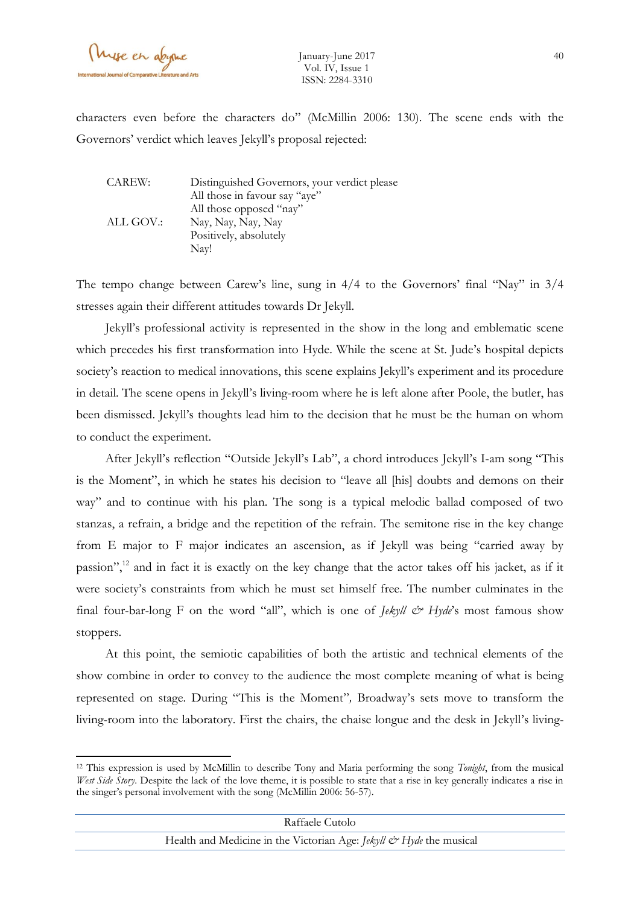Muse en abyme

characters even before the characters do" (McMillin 2006: 130). The scene ends with the Governors' verdict which leaves Jekyll's proposal rejected:

| CAREW:    | Distinguished Governors, your verdict please |
|-----------|----------------------------------------------|
|           | All those in favour say "aye"                |
|           | All those opposed "nay"                      |
| ALL GOV.: | Nay, Nay, Nay, Nay                           |
|           | Positively, absolutely                       |
|           | Nay!                                         |

The tempo change between Carew's line, sung in 4/4 to the Governors' final "Nay" in 3/4 stresses again their different attitudes towards Dr Jekyll.

Jekyll's professional activity is represented in the show in the long and emblematic scene which precedes his first transformation into Hyde. While the scene at St. Jude's hospital depicts society's reaction to medical innovations, this scene explains Jekyll's experiment and its procedure in detail. The scene opens in Jekyll's living-room where he is left alone after Poole, the butler, has been dismissed. Jekyll's thoughts lead him to the decision that he must be the human on whom to conduct the experiment.

After Jekyll's reflection "Outside Jekyll's Lab", a chord introduces Jekyll's I-am song "This is the Moment", in which he states his decision to "leave all [his] doubts and demons on their way" and to continue with his plan. The song is a typical melodic ballad composed of two stanzas, a refrain, a bridge and the repetition of the refrain. The semitone rise in the key change from E major to F major indicates an ascension, as if Jekyll was being "carried away by passion",<sup>12</sup> and in fact it is exactly on the key change that the actor takes off his jacket, as if it were society's constraints from which he must set himself free. The number culminates in the final four-bar-long F on the word "all", which is one of *Jekyll & Hyde*'s most famous show stoppers.

At this point, the semiotic capabilities of both the artistic and technical elements of the show combine in order to convey to the audience the most complete meaning of what is being represented on stage. During "This is the Moment"*,* Broadway's sets move to transform the living-room into the laboratory. First the chairs, the chaise longue and the desk in Jekyll's living-

Raffaele Cutolo

Health and Medicine in the Victorian Age: *Jekyll & Hyde* the musical

<sup>12</sup> This expression is used by McMillin to describe Tony and Maria performing the song *Tonight*, from the musical *West Side Story*. Despite the lack of the love theme, it is possible to state that a rise in key generally indicates a rise in the singer's personal involvement with the song (McMillin 2006: 56-57).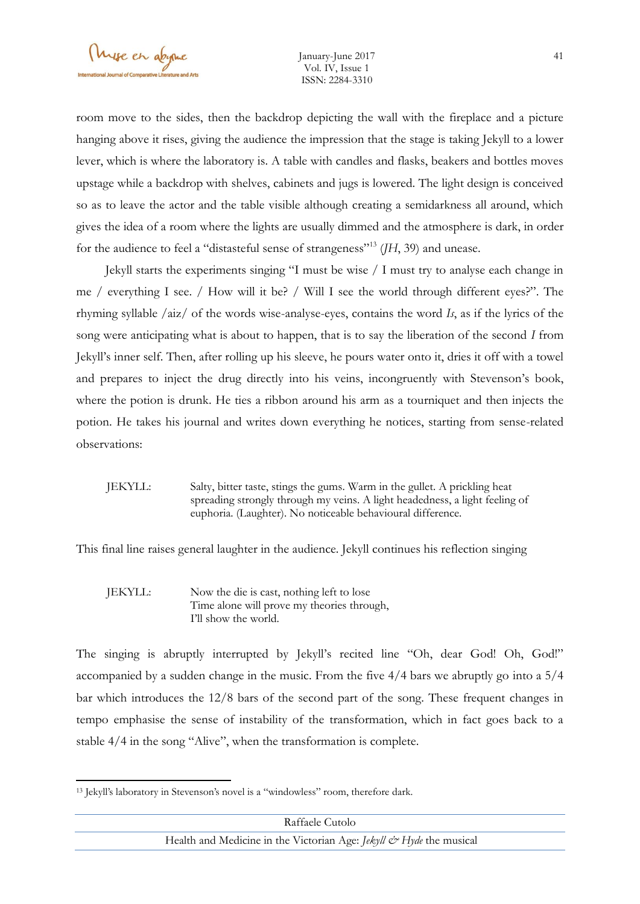room move to the sides, then the backdrop depicting the wall with the fireplace and a picture hanging above it rises, giving the audience the impression that the stage is taking Jekyll to a lower lever, which is where the laboratory is. A table with candles and flasks, beakers and bottles moves upstage while a backdrop with shelves, cabinets and jugs is lowered. The light design is conceived so as to leave the actor and the table visible although creating a semidarkness all around, which gives the idea of a room where the lights are usually dimmed and the atmosphere is dark, in order for the audience to feel a "distasteful sense of strangeness"<sup>13</sup> (*JH*, 39) and unease.

Jekyll starts the experiments singing "I must be wise / I must try to analyse each change in me / everything I see. / How will it be? / Will I see the world through different eyes?". The rhyming syllable /aiz/ of the words wise-analyse-eyes, contains the word *Is*, as if the lyrics of the song were anticipating what is about to happen, that is to say the liberation of the second *I* from Jekyll's inner self. Then, after rolling up his sleeve, he pours water onto it, dries it off with a towel and prepares to inject the drug directly into his veins, incongruently with Stevenson's book, where the potion is drunk. He ties a ribbon around his arm as a tourniquet and then injects the potion. He takes his journal and writes down everything he notices, starting from sense-related observations:

JEKYLL: Salty, bitter taste, stings the gums. Warm in the gullet. A prickling heat spreading strongly through my veins. A light headedness, a light feeling of euphoria. (Laughter). No noticeable behavioural difference.

This final line raises general laughter in the audience. Jekyll continues his reflection singing

JEKYLL: Now the die is cast, nothing left to lose Time alone will prove my theories through, I'll show the world.

The singing is abruptly interrupted by Jekyll's recited line "Oh, dear God! Oh, God!" accompanied by a sudden change in the music. From the five 4/4 bars we abruptly go into a 5/4 bar which introduces the 12/8 bars of the second part of the song. These frequent changes in tempo emphasise the sense of instability of the transformation, which in fact goes back to a stable 4/4 in the song "Alive", when the transformation is complete.

 $\overline{\phantom{a}}$ <sup>13</sup> Jekyll's laboratory in Stevenson's novel is a "windowless" room, therefore dark.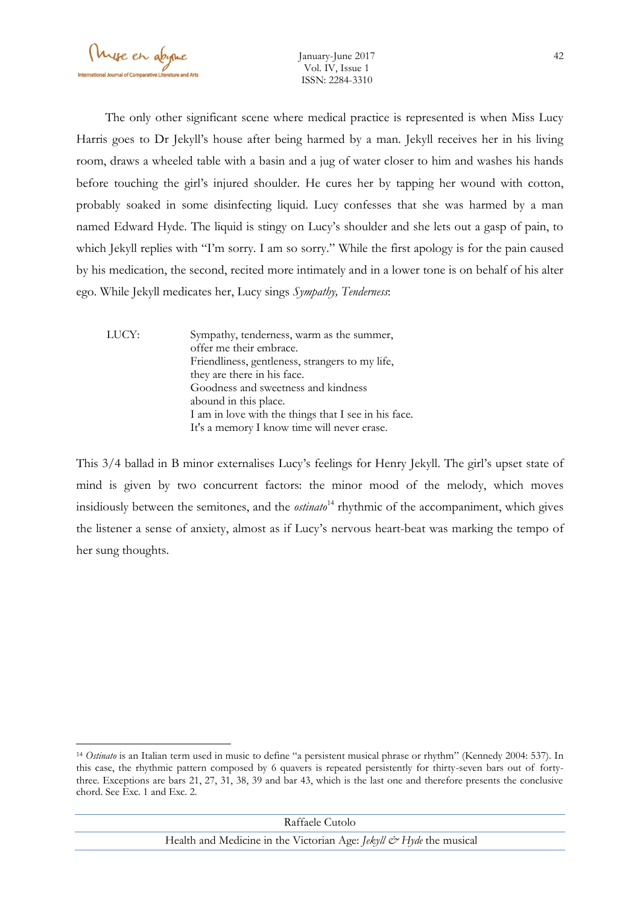January-June 2017 Vol. IV, Issue 1 ISSN: 2284-3310

The only other significant scene where medical practice is represented is when Miss Lucy Harris goes to Dr Jekyll's house after being harmed by a man. Jekyll receives her in his living room, draws a wheeled table with a basin and a jug of water closer to him and washes his hands before touching the girl's injured shoulder. He cures her by tapping her wound with cotton, probably soaked in some disinfecting liquid. Lucy confesses that she was harmed by a man named Edward Hyde. The liquid is stingy on Lucy's shoulder and she lets out a gasp of pain, to which Jekyll replies with "I'm sorry. I am so sorry." While the first apology is for the pain caused by his medication, the second, recited more intimately and in a lower tone is on behalf of his alter ego. While Jekyll medicates her, Lucy sings *Sympathy, Tenderness*:

LUCY: Sympathy, tenderness, warm as the summer, offer me their embrace. Friendliness, gentleness, strangers to my life, they are there in his face. Goodness and sweetness and kindness abound in this place. I am in love with the things that I see in his face. It's a memory I know time will never erase.

This 3/4 ballad in B minor externalises Lucy's feelings for Henry Jekyll. The girl's upset state of mind is given by two concurrent factors: the minor mood of the melody, which moves insidiously between the semitones, and the *ostinato*<sup>14</sup> rhythmic of the accompaniment, which gives the listener a sense of anxiety, almost as if Lucy's nervous heart-beat was marking the tempo of her sung thoughts.

Raffaele Cutolo

Health and Medicine in the Victorian Age: *Jekyll & Hyde* the musical

<sup>14</sup> *Ostinato* is an Italian term used in music to define "a persistent musical phrase or rhythm" (Kennedy 2004: 537). In this case, the rhythmic pattern composed by 6 quavers is repeated persistently for thirty-seven bars out of fortythree. Exceptions are bars 21, 27, 31, 38, 39 and bar 43, which is the last one and therefore presents the conclusive chord. See Exc. 1 and Exc. 2.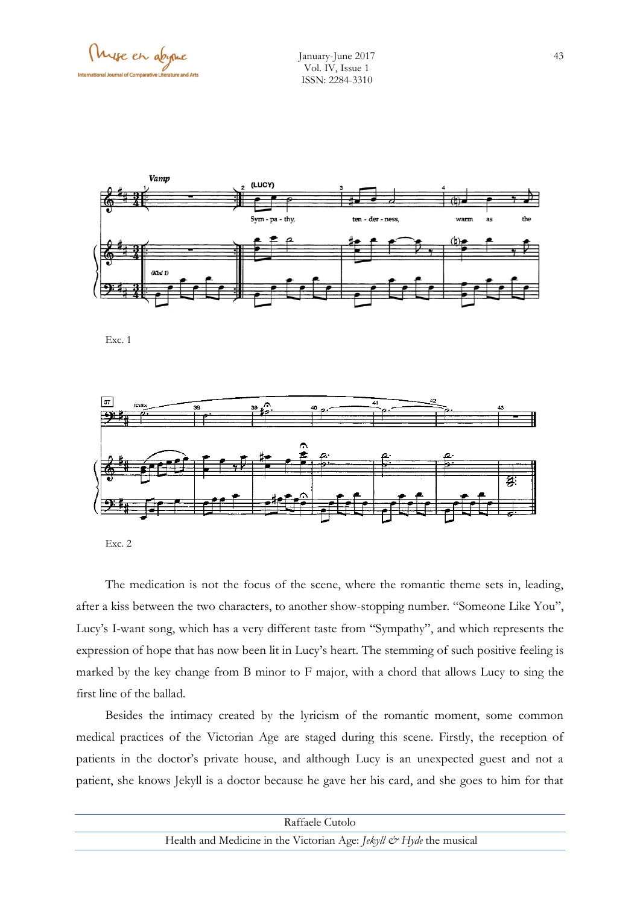(hyse en abyme urnal of Comparative L









The medication is not the focus of the scene, where the romantic theme sets in, leading, after a kiss between the two characters, to another show-stopping number. "Someone Like You", Lucy's I-want song, which has a very different taste from "Sympathy", and which represents the expression of hope that has now been lit in Lucy's heart. The stemming of such positive feeling is marked by the key change from B minor to F major, with a chord that allows Lucy to sing the first line of the ballad.

Besides the intimacy created by the lyricism of the romantic moment, some common medical practices of the Victorian Age are staged during this scene. Firstly, the reception of patients in the doctor's private house, and although Lucy is an unexpected guest and not a patient, she knows Jekyll is a doctor because he gave her his card, and she goes to him for that

| Raffaele Cutolo                                                                |  |
|--------------------------------------------------------------------------------|--|
| Health and Medicine in the Victorian Age: <i>Jekyll &amp; Hyde</i> the musical |  |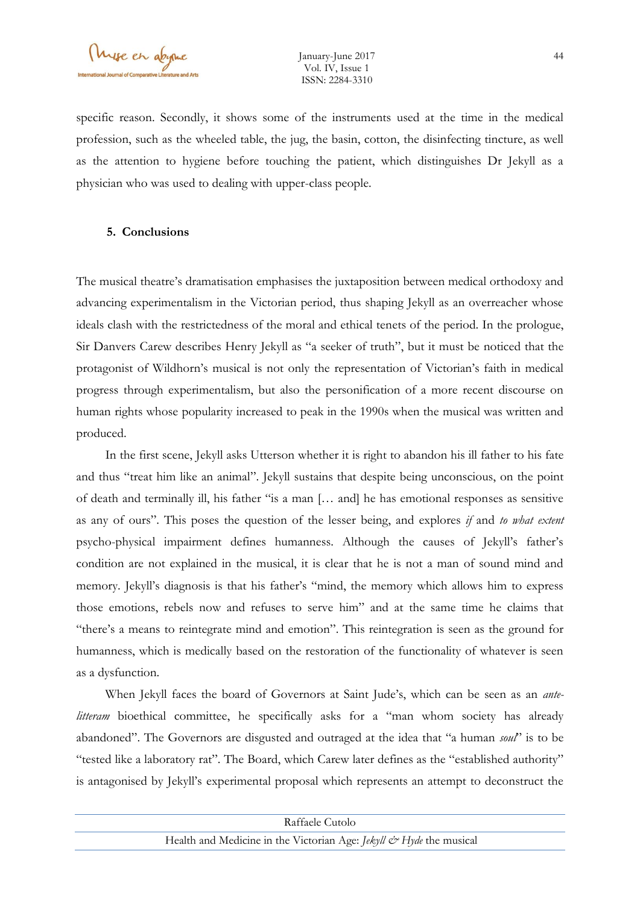specific reason. Secondly, it shows some of the instruments used at the time in the medical profession, such as the wheeled table, the jug, the basin, cotton, the disinfecting tincture, as well as the attention to hygiene before touching the patient, which distinguishes Dr Jekyll as a physician who was used to dealing with upper-class people.

#### **5. Conclusions**

The musical theatre's dramatisation emphasises the juxtaposition between medical orthodoxy and advancing experimentalism in the Victorian period, thus shaping Jekyll as an overreacher whose ideals clash with the restrictedness of the moral and ethical tenets of the period. In the prologue, Sir Danvers Carew describes Henry Jekyll as "a seeker of truth", but it must be noticed that the protagonist of Wildhorn's musical is not only the representation of Victorian's faith in medical progress through experimentalism, but also the personification of a more recent discourse on human rights whose popularity increased to peak in the 1990s when the musical was written and produced.

In the first scene, Jekyll asks Utterson whether it is right to abandon his ill father to his fate and thus "treat him like an animal". Jekyll sustains that despite being unconscious, on the point of death and terminally ill, his father "is a man [… and] he has emotional responses as sensitive as any of ours". This poses the question of the lesser being, and explores *if* and *to what extent* psycho-physical impairment defines humanness. Although the causes of Jekyll's father's condition are not explained in the musical, it is clear that he is not a man of sound mind and memory. Jekyll's diagnosis is that his father's "mind, the memory which allows him to express those emotions, rebels now and refuses to serve him" and at the same time he claims that "there's a means to reintegrate mind and emotion". This reintegration is seen as the ground for humanness, which is medically based on the restoration of the functionality of whatever is seen as a dysfunction.

When Jekyll faces the board of Governors at Saint Jude's, which can be seen as an *antelitteram* bioethical committee, he specifically asks for a "man whom society has already abandoned". The Governors are disgusted and outraged at the idea that "a human *soul*" is to be "tested like a laboratory rat". The Board, which Carew later defines as the "established authority" is antagonised by Jekyll's experimental proposal which represents an attempt to deconstruct the

| Raffaele Cutolo                                                                |  |
|--------------------------------------------------------------------------------|--|
| Health and Medicine in the Victorian Age: <i>Jekyll &amp; Hyde</i> the musical |  |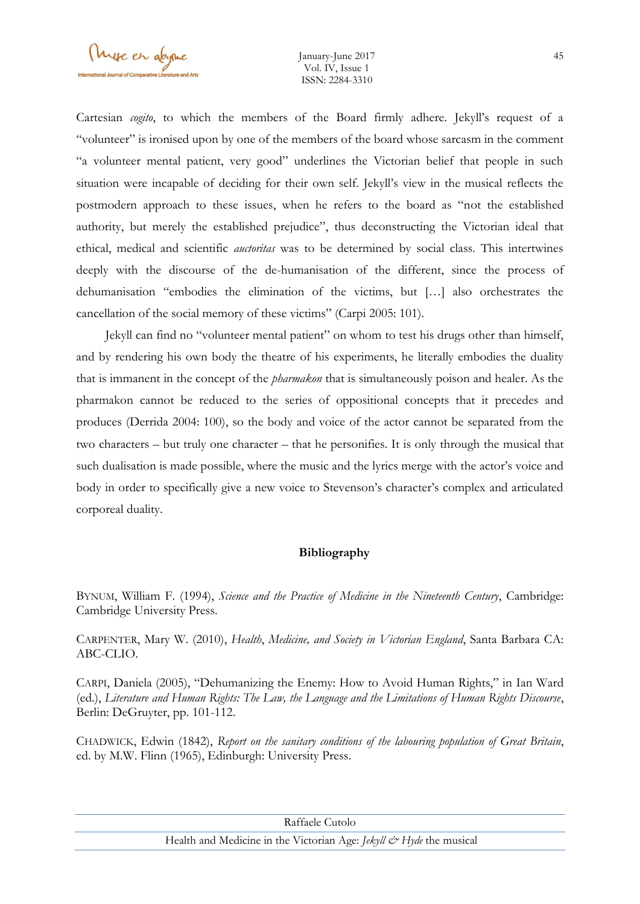Cartesian *cogito*, to which the members of the Board firmly adhere. Jekyll's request of a "volunteer" is ironised upon by one of the members of the board whose sarcasm in the comment "a volunteer mental patient, very good" underlines the Victorian belief that people in such situation were incapable of deciding for their own self. Jekyll's view in the musical reflects the postmodern approach to these issues, when he refers to the board as "not the established authority, but merely the established prejudice", thus deconstructing the Victorian ideal that ethical, medical and scientific *auctoritas* was to be determined by social class. This intertwines deeply with the discourse of the de-humanisation of the different, since the process of dehumanisation "embodies the elimination of the victims, but […] also orchestrates the cancellation of the social memory of these victims" (Carpi 2005: 101).

Jekyll can find no "volunteer mental patient" on whom to test his drugs other than himself, and by rendering his own body the theatre of his experiments, he literally embodies the duality that is immanent in the concept of the *pharmakon* that is simultaneously poison and healer. As the pharmakon cannot be reduced to the series of oppositional concepts that it precedes and produces (Derrida 2004: 100), so the body and voice of the actor cannot be separated from the two characters – but truly one character – that he personifies. It is only through the musical that such dualisation is made possible, where the music and the lyrics merge with the actor's voice and body in order to specifically give a new voice to Stevenson's character's complex and articulated corporeal duality.

# **Bibliography**

BYNUM, William F. (1994), *Science and the Practice of Medicine in the Nineteenth Century*, Cambridge: Cambridge University Press.

CARPENTER, Mary W. (2010), *Health*, *Medicine, and Society in Victorian England*, Santa Barbara CA: ABC-CLIO.

CARPI, Daniela (2005), "Dehumanizing the Enemy: How to Avoid Human Rights," in Ian Ward (ed.), *Literature and Human Rights: The Law, the Language and the Limitations of Human Rights Discourse*, Berlin: DeGruyter, pp. 101-112.

CHADWICK, Edwin (1842), *Report on the sanitary conditions of the labouring population of Great Britain*, ed. by M.W. Flinn (1965), Edinburgh: University Press.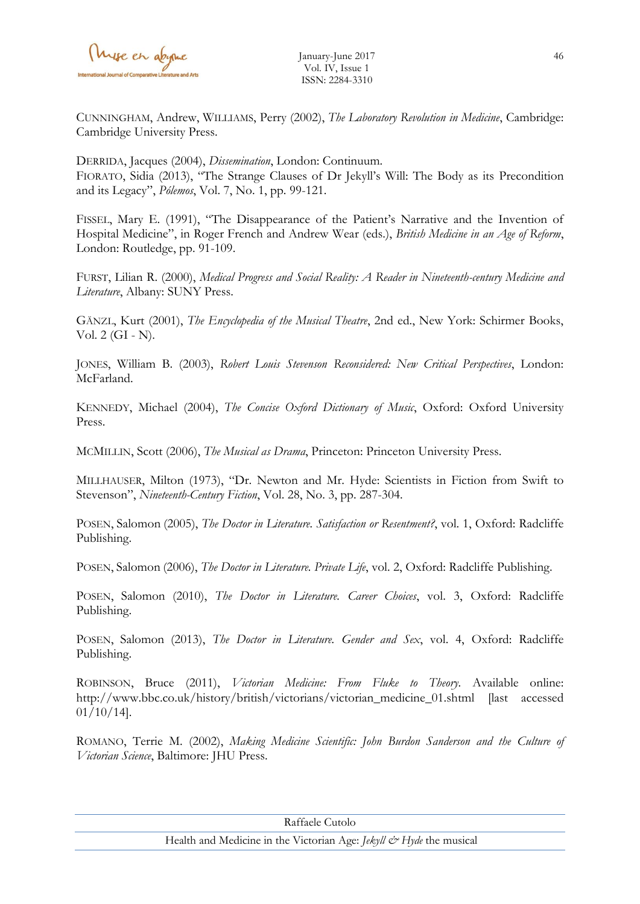Myse en abyme International Journal of Comparative L

CUNNINGHAM, Andrew, WILLIAMS, Perry (2002), *The Laboratory Revolution in Medicine*, Cambridge: Cambridge University Press.

DERRIDA, Jacques (2004), *Dissemination*, London: Continuum. FIORATO, Sidia (2013), "The Strange Clauses of Dr Jekyll's Will: The Body as its Precondition and its Legacy", *Pólemos*, Vol. 7, No. 1, pp. 99-121.

FISSEL, Mary E. (1991), "The Disappearance of the Patient's Narrative and the Invention of Hospital Medicine", in Roger French and Andrew Wear (eds.), *British Medicine in an Age of Reform*, London: Routledge, pp. 91-109.

FURST, Lilian R. (2000), *Medical Progress and Social Reality: A Reader in Nineteenth-century Medicine and Literature*, Albany: SUNY Press.

GÄNZL, Kurt (2001), *The Encyclopedia of the Musical Theatre*, 2nd ed., New York: Schirmer Books, Vol. 2 (GI - N).

JONES, William B. (2003), *Robert Louis Stevenson Reconsidered: New Critical Perspectives*, London: McFarland.

KENNEDY, Michael (2004), *The Concise Oxford Dictionary of Music*, Oxford: Oxford University Press.

MCMILLIN, Scott (2006), *The Musical as Drama*, Princeton: Princeton University Press.

MILLHAUSER, Milton (1973), "Dr. Newton and Mr. Hyde: Scientists in Fiction from Swift to Stevenson", *Nineteenth-Century Fiction*, Vol. 28, No. 3, pp. 287-304.

POSEN, Salomon (2005), *The Doctor in Literature. Satisfaction or Resentment?*, vol. 1, Oxford: Radcliffe Publishing.

POSEN, Salomon (2006), *The Doctor in Literature. Private Life*, vol. 2, Oxford: Radcliffe Publishing.

POSEN, Salomon (2010), *The Doctor in Literature. Career Choices*, vol. 3, Oxford: Radcliffe Publishing.

POSEN, Salomon (2013), *The Doctor in Literature. Gender and Sex*, vol. 4, Oxford: Radcliffe Publishing.

ROBINSON, Bruce (2011), *Victorian Medicine: From Fluke to Theory*. Available online: http://www.bbc.co.uk/history/british/victorians/victorian\_medicine\_01.shtml [last accessed 01/10/14].

ROMANO, Terrie M. (2002), *Making Medicine Scientific: John Burdon Sanderson and the Culture of Victorian Science*, Baltimore: JHU Press.

Raffaele Cutolo

Health and Medicine in the Victorian Age: *Jekyll & Hyde* the musical